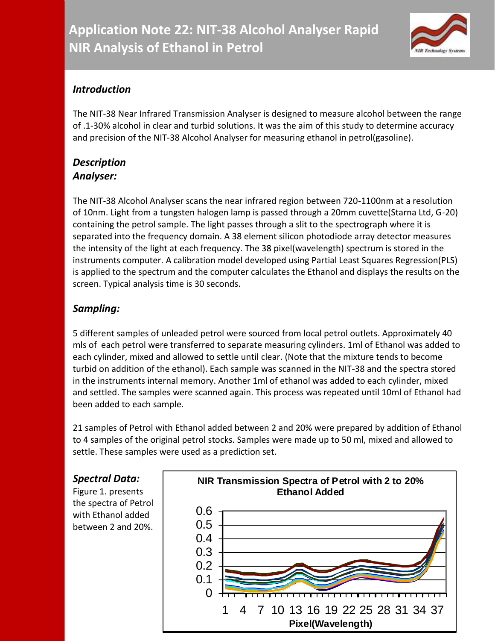

## *Introduction*

The NIT-38 Near Infrared Transmission Analyser is designed to measure alcohol between the range of .1-30% alcohol in clear and turbid solutions. It was the aim of this study to determine accuracy and precision of the NIT-38 Alcohol Analyser for measuring ethanol in petrol(gasoline).

### *Description Analyser:*

The NIT-38 Alcohol Analyser scans the near infrared region between 720-1100nm at a resolution of 10nm. Light from a tungsten halogen lamp is passed through a 20mm cuvette(Starna Ltd, G-20) containing the petrol sample. The light passes through a slit to the spectrograph where it is separated into the frequency domain. A 38 element silicon photodiode array detector measures the intensity of the light at each frequency. The 38 pixel(wavelength) spectrum is stored in the instruments computer. A calibration model developed using Partial Least Squares Regression(PLS) is applied to the spectrum and the computer calculates the Ethanol and displays the results on the screen. Typical analysis time is 30 seconds.

# *Sampling:*

5 different samples of unleaded petrol were sourced from local petrol outlets. Approximately 40 mls of each petrol were transferred to separate measuring cylinders. 1ml of Ethanol was added to each cylinder, mixed and allowed to settle until clear. (Note that the mixture tends to become turbid on addition of the ethanol). Each sample was scanned in the NIT-38 and the spectra stored in the instruments internal memory. Another 1ml of ethanol was added to each cylinder, mixed and settled. The samples were scanned again. This process was repeated until 10ml of Ethanol had been added to each sample.

21 samples of Petrol with Ethanol added between 2 and 20% were prepared by addition of Ethanol to 4 samples of the original petrol stocks. Samples were made up to 50 ml, mixed and allowed to settle. These samples were used as a prediction set.

# *Spectral Data:*

Figure 1. presents the spectra of Petrol with Ethanol added between 2 and 20%.

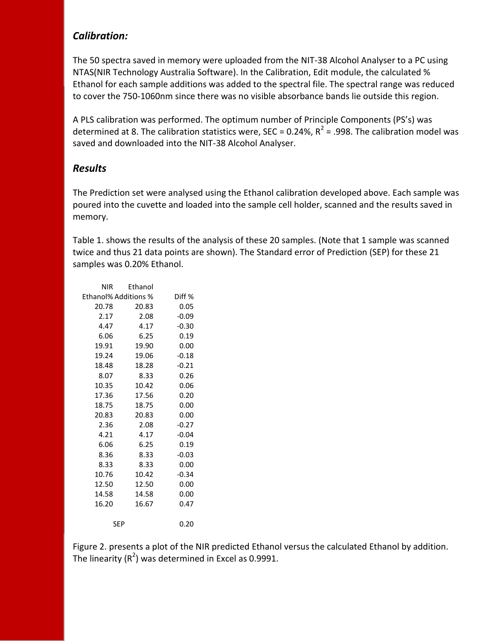#### *Calibration:*

The 50 spectra saved in memory were uploaded from the NIT-38 Alcohol Analyser to a PC using NTAS(NIR Technology Australia Software). In the Calibration, Edit module, the calculated % Ethanol for each sample additions was added to the spectral file. The spectral range was reduced to cover the 750-1060nm since there was no visible absorbance bands lie outside this region.

A PLS calibration was performed. The optimum number of Principle Components (PS's) was determined at 8. The calibration statistics were, SEC = 0.24%,  $R^2$  = .998. The calibration model was saved and downloaded into the NIT-38 Alcohol Analyser.

### *Results*

The Prediction set were analysed using the Ethanol calibration developed above. Each sample was poured into the cuvette and loaded into the sample cell holder, scanned and the results saved in memory.

Table 1. shows the results of the analysis of these 20 samples. (Note that 1 sample was scanned twice and thus 21 data points are shown). The Standard error of Prediction (SEP) for these 21 samples was 0.20% Ethanol.

| NIR                         | Ethanol |         |
|-----------------------------|---------|---------|
| <b>Ethanol% Additions %</b> |         | Diff %  |
| 20.78                       | 20.83   | 0.05    |
| 2.17                        | 2.08    | $-0.09$ |
| 4.47                        | 4.17    | $-0.30$ |
| 6.06                        | 6.25    | 0.19    |
| 19.91                       | 19.90   | 0.00    |
| 19.24                       | 19.06   | $-0.18$ |
| 18.48                       | 18.28   | $-0.21$ |
| 8.07                        | 8.33    | 0.26    |
| 10.35                       | 10.42   | 0.06    |
| 17.36                       | 17.56   | 0.20    |
| 18.75                       | 18.75   | 0.00    |
| 20.83                       | 20.83   | 0.00    |
| 2.36                        | 2.08    | $-0.27$ |
| 4.21                        | 4.17    | $-0.04$ |
| 6.06                        | 6.25    | 0.19    |
| 8.36                        | 8.33    | $-0.03$ |
| 8.33                        | 8.33    | 0.00    |
| 10.76                       | 10.42   | $-0.34$ |
| 12.50                       | 12.50   | 0.00    |
| 14.58                       | 14.58   | 0.00    |
| 16.20                       | 16.67   | 0.47    |
| SEP                         |         | 0.20    |

Figure 2. presents a plot of the NIR predicted Ethanol versus the calculated Ethanol by addition. The linearity (R<sup>2</sup>) was determined in Excel as 0.9991.